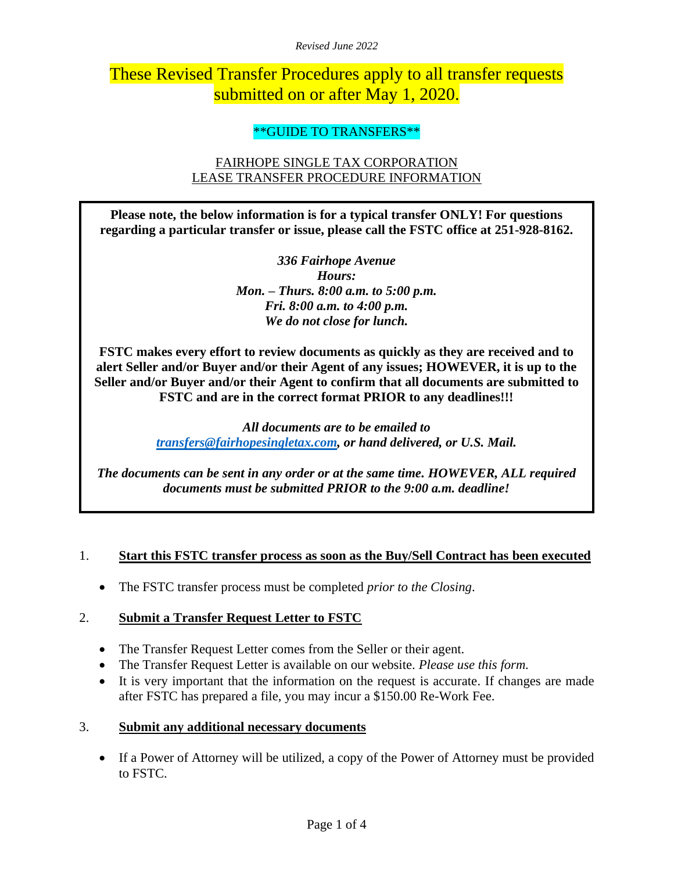*Revised June 2022*

# These Revised Transfer Procedures apply to all transfer requests submitted on or after May 1, 2020.

## \*\*GUIDE TO TRANSFERS\*\*

# FAIRHOPE SINGLE TAX CORPORATION LEASE TRANSFER PROCEDURE INFORMATION

**Please note, the below information is for a typical transfer ONLY! For questions regarding a particular transfer or issue, please call the FSTC office at 251-928-8162.**

> *336 Fairhope Avenue Hours: Mon. – Thurs. 8:00 a.m. to 5:00 p.m. Fri. 8:00 a.m. to 4:00 p.m. We do not close for lunch.*

**FSTC makes every effort to review documents as quickly as they are received and to alert Seller and/or Buyer and/or their Agent of any issues; HOWEVER, it is up to the Seller and/or Buyer and/or their Agent to confirm that all documents are submitted to FSTC and are in the correct format PRIOR to any deadlines!!!**

> *All documents are to be emailed to [transfers@fairhopesingletax.com,](mailto:transfers@fairhopesingletax.com) or hand delivered, or U.S. Mail.*

*The documents can be sent in any order or at the same time. HOWEVER, ALL required documents must be submitted PRIOR to the 9:00 a.m. deadline!*

#### 1. **Start this FSTC transfer process as soon as the Buy/Sell Contract has been executed**

• The FSTC transfer process must be completed *prior to the Closing*.

## 2. **Submit a Transfer Request Letter to FSTC**

- The Transfer Request Letter comes from the Seller or their agent.
- The Transfer Request Letter is available on our website. *Please use this form.*
- It is very important that the information on the request is accurate. If changes are made after FSTC has prepared a file, you may incur a \$150.00 Re-Work Fee.

#### 3. **Submit any additional necessary documents**

• If a Power of Attorney will be utilized, a copy of the Power of Attorney must be provided to FSTC.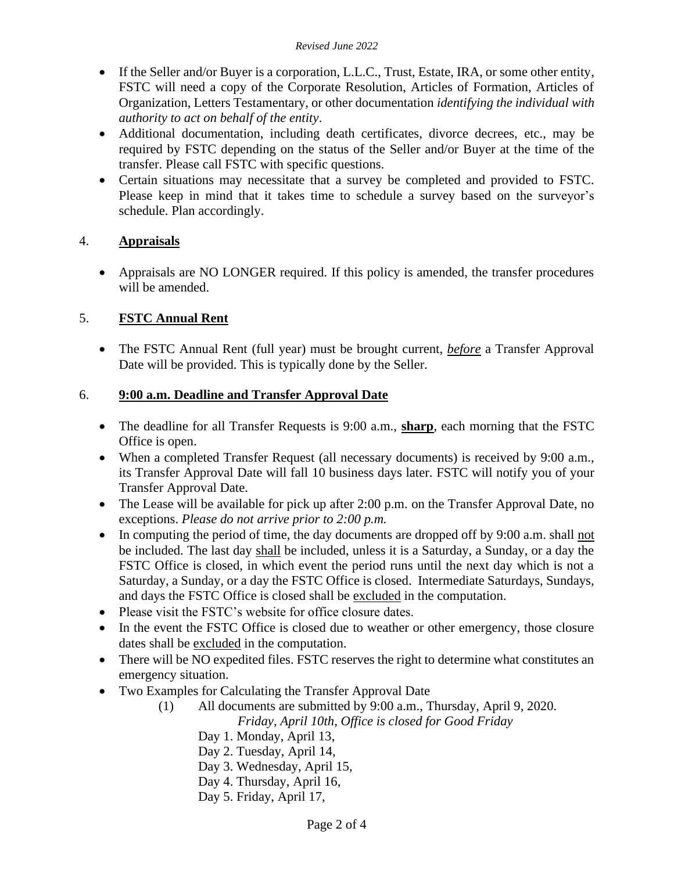- If the Seller and/or Buyer is a corporation, L.L.C., Trust, Estate, IRA, or some other entity, FSTC will need a copy of the Corporate Resolution, Articles of Formation, Articles of Organization, Letters Testamentary, or other documentation *identifying the individual with authority to act on behalf of the entity*.
- Additional documentation, including death certificates, divorce decrees, etc., may be required by FSTC depending on the status of the Seller and/or Buyer at the time of the transfer. Please call FSTC with specific questions.
- Certain situations may necessitate that a survey be completed and provided to FSTC. Please keep in mind that it takes time to schedule a survey based on the surveyor's schedule. Plan accordingly.

# 4. **Appraisals**

• Appraisals are NO LONGER required. If this policy is amended, the transfer procedures will be amended.

# 5. **FSTC Annual Rent**

• The FSTC Annual Rent (full year) must be brought current, *before* a Transfer Approval Date will be provided. This is typically done by the Seller.

## 6. **9:00 a.m. Deadline and Transfer Approval Date**

- The deadline for all Transfer Requests is 9:00 a.m., **sharp**, each morning that the FSTC Office is open.
- When a completed Transfer Request (all necessary documents) is received by 9:00 a.m., its Transfer Approval Date will fall 10 business days later. FSTC will notify you of your Transfer Approval Date.
- The Lease will be available for pick up after 2:00 p.m. on the Transfer Approval Date, no exceptions. *Please do not arrive prior to 2:00 p.m.*
- In computing the period of time, the day documents are dropped off by 9:00 a.m. shall not be included. The last day shall be included, unless it is a Saturday, a Sunday, or a day the FSTC Office is closed, in which event the period runs until the next day which is not a Saturday, a Sunday, or a day the FSTC Office is closed. Intermediate Saturdays, Sundays, and days the FSTC Office is closed shall be excluded in the computation.
- Please visit the FSTC's website for office closure dates.
- In the event the FSTC Office is closed due to weather or other emergency, those closure dates shall be excluded in the computation.
- There will be NO expedited files. FSTC reserves the right to determine what constitutes an emergency situation.
- Two Examples for Calculating the Transfer Approval Date
	- (1) All documents are submitted by 9:00 a.m., Thursday, April 9, 2020.  *Friday, April 10th, Office is closed for Good Friday*
		- Day 1. Monday, April 13,
		- Day 2. Tuesday, April 14,
		- Day 3. Wednesday, April 15,
		- Day 4. Thursday, April 16,
		- Day 5. Friday, April 17,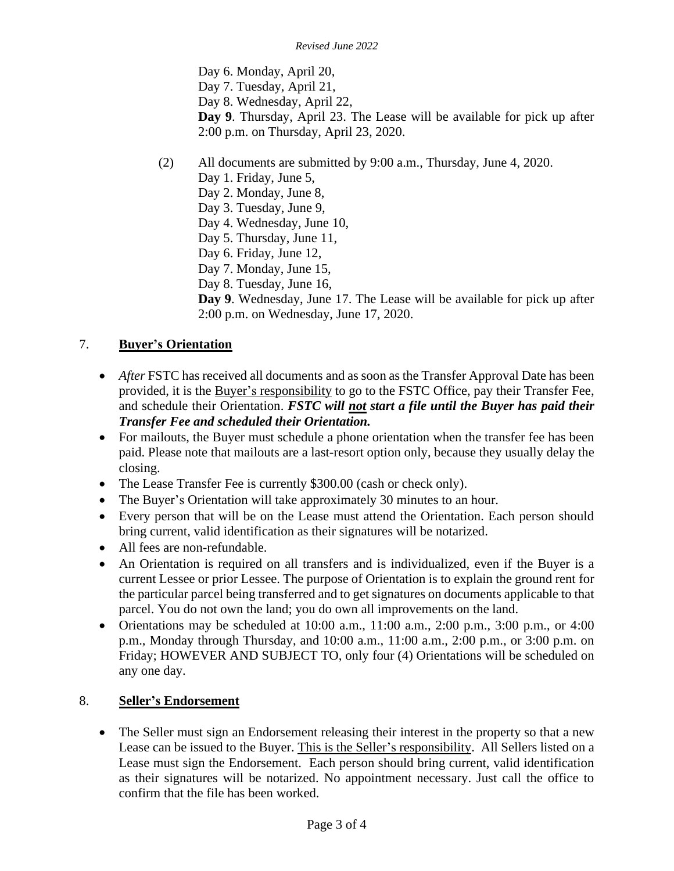Day 6. Monday, April 20, Day 7. Tuesday, April 21, Day 8. Wednesday, April 22, **Day 9**. Thursday, April 23. The Lease will be available for pick up after 2:00 p.m. on Thursday, April 23, 2020.

- (2) All documents are submitted by 9:00 a.m., Thursday, June 4, 2020.
	- Day 1. Friday, June 5,
	- Day 2. Monday, June 8,
	- Day 3. Tuesday, June 9,
	- Day 4. Wednesday, June 10,
	- Day 5. Thursday, June 11,
	- Day 6. Friday, June 12,
	- Day 7. Monday, June 15,
	- Day 8. Tuesday, June 16,

**Day 9**. Wednesday, June 17. The Lease will be available for pick up after 2:00 p.m. on Wednesday, June 17, 2020.

#### 7. **Buyer's Orientation**

- *After* FSTC has received all documents and as soon as the Transfer Approval Date has been provided, it is the Buyer's responsibility to go to the FSTC Office, pay their Transfer Fee, and schedule their Orientation. *FSTC will not start a file until the Buyer has paid their Transfer Fee and scheduled their Orientation.*
- For mailouts, the Buyer must schedule a phone orientation when the transfer fee has been paid. Please note that mailouts are a last-resort option only, because they usually delay the closing.
- The Lease Transfer Fee is currently \$300.00 (cash or check only).
- The Buyer's Orientation will take approximately 30 minutes to an hour.
- Every person that will be on the Lease must attend the Orientation. Each person should bring current, valid identification as their signatures will be notarized.
- All fees are non-refundable.
- An Orientation is required on all transfers and is individualized, even if the Buyer is a current Lessee or prior Lessee. The purpose of Orientation is to explain the ground rent for the particular parcel being transferred and to get signatures on documents applicable to that parcel. You do not own the land; you do own all improvements on the land.
- Orientations may be scheduled at  $10:00$  a.m.,  $11:00$  a.m.,  $2:00$  p.m.,  $3:00$  p.m., or  $4:00$ p.m., Monday through Thursday, and 10:00 a.m., 11:00 a.m., 2:00 p.m., or 3:00 p.m. on Friday; HOWEVER AND SUBJECT TO, only four (4) Orientations will be scheduled on any one day.

#### 8. **Seller's Endorsement**

• The Seller must sign an Endorsement releasing their interest in the property so that a new Lease can be issued to the Buyer. This is the Seller's responsibility. All Sellers listed on a Lease must sign the Endorsement. Each person should bring current, valid identification as their signatures will be notarized. No appointment necessary. Just call the office to confirm that the file has been worked.